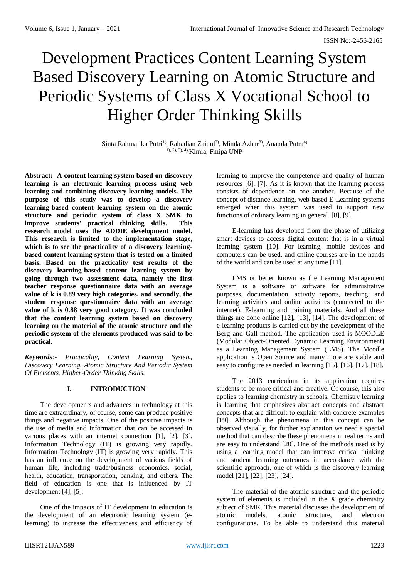# Development Practices Content Learning System Based Discovery Learning on Atomic Structure and Periodic Systems of Class X Vocational School to Higher Order Thinking Skills

Sinta Rahmatika Putri<sup>1)</sup>, Rahadian Zainul<sup>2)</sup>, Minda Azhar<sup>3)</sup>, Ananda Putra<sup>4)</sup> 1), 2), 3), 4),Kimia, Fmipa UNP

**Abstract:- A content learning system based on discovery learning is an electronic learning process using web learning and combining discovery learning models. The purpose of this study was to develop a discovery learning-based content learning system on the atomic structure and periodic system of class X SMK to improve students' practical thinking skills. This research model uses the ADDIE development model. This research is limited to the implementation stage, which is to see the practicality of a discovery learningbased content learning system that is tested on a limited basis. Based on the practicality test results of the discovery learning-based content learning system by going through two assessment data, namely the first teacher response questionnaire data with an average value of k is 0.89 very high categories, and secondly, the student response questionnaire data with an average value of k is 0.88 very good category. It was concluded that the content learning system based on discovery learning on the material of the atomic structure and the periodic system of the elements produced was said to be practical.**

*Keywords:- Practicality, Content Learning System, Discovery Learning, Atomic Structure And Periodic System Of Elements, Higher-Order Thinking Skills.*

## **I. INTRODUCTION**

The developments and advances in technology at this time are extraordinary, of course, some can produce positive things and negative impacts. One of the positive impacts is the use of media and information that can be accessed in various places with an internet connection [1], [2], [3]. Information Technology (IT) is growing very rapidly. Information Technology (IT) is growing very rapidly. This has an influence on the development of various fields of human life, including trade/business economics, social, health, education, transportation, banking, and others. The field of education is one that is influenced by IT development [4], [5].

One of the impacts of IT development in education is the development of an electronic learning system (elearning) to increase the effectiveness and efficiency of

learning to improve the competence and quality of human resources [6], [7]. As it is known that the learning process consists of dependence on one another. Because of the concept of distance learning, web-based E-Learning systems emerged when this system was used to support new functions of ordinary learning in general [8], [9].

E-learning has developed from the phase of utilizing smart devices to access digital content that is in a virtual learning system [10]. For learning, mobile devices and computers can be used, and online courses are in the hands of the world and can be used at any time [11].

LMS or better known as the Learning Management System is a software or software for administrative purposes, documentation, activity reports, teaching, and learning activities and online activities (connected to the internet), E-learning and training materials. And all these things are done online [12], [13], [14]. The development of e-learning products is carried out by the development of the Berg and Gall method. The application used is MOODLE (Modular Object-Oriented Dynamic Learning Environment) as a Learning Management System (LMS). The Moodle application is Open Source and many more are stable and easy to configure as needed in learning [15], [16], [17], [18].

The 2013 curriculum in its application requires students to be more critical and creative. Of course, this also applies to learning chemistry in schools. Chemistry learning is learning that emphasizes abstract concepts and abstract concepts that are difficult to explain with concrete examples [19]. Although the phenomena in this concept can be observed visually, for further explanation we need a special method that can describe these phenomena in real terms and are easy to understand [20]. One of the methods used is by using a learning model that can improve critical thinking and student learning outcomes in accordance with the scientific approach, one of which is the discovery learning model [21], [22], [23], [24].

The material of the atomic structure and the periodic system of elements is included in the X grade chemistry subject of SMK. This material discusses the development of atomic models, atomic structure, and electron configurations. To be able to understand this material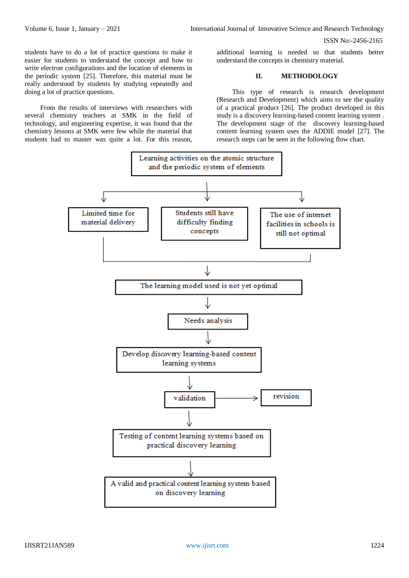students have to do a lot of practice questions to make it easier for students to understand the concept and how to write electron configurations and the location of elements in the periodic system [25]. Therefore, this material must be really understood by students by studying repeatedly and doing a lot of practice questions.

From the results of interviews with researchers with several chemistry teachers at SMK in the field of technology, and engineering expertise, it was found that the chemistry lessons at SMK were few while the material that students had to master was quite a lot. For this reason,

additional learning is needed so that students better understand the concepts in chemistry material.

## **II. METHODOLOGY**

This type of research is research development (Research and Development) which aims to see the quality of a practical product [26]. The product developed in this study is a discovery learning-based content learning system . The development stage of the discovery learning-based content learning system uses the ADDIE model [27]. The research steps can be seen in the following flow chart.

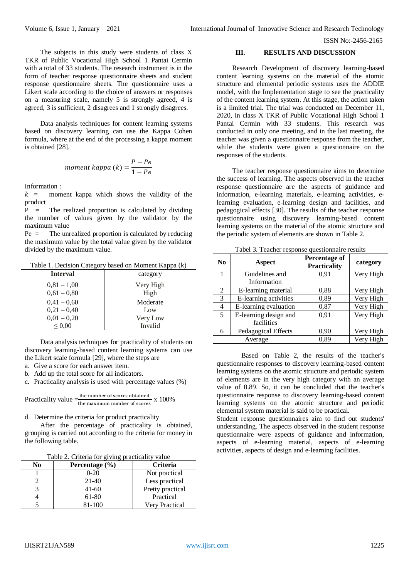The subjects in this study were students of class X TKR of Public Vocational High School 1 Pantai Cermin with a total of 33 students. The research instrument is in the form of teacher response questionnaire sheets and student response questionnaire sheets. The questionnaire uses a Likert scale according to the choice of answers or responses on a measuring scale, namely 5 is strongly agreed, 4 is agreed, 3 is sufficient, 2 disagrees and 1 strongly disagrees.

Data analysis techniques for content learning systems based on discovery learning can use the Kappa Cohen formula, where at the end of the processing a kappa moment is obtained [28].

$$
moment \; kappa \; (k) = \frac{P - Pe}{1 - Pe}
$$

Information :

 $k =$  moment kappa which shows the validity of the product

 $P =$  The realized proportion is calculated by dividing the number of values given by the validator by the maximum value

Pe = The unrealized proportion is calculated by reducing the maximum value by the total value given by the validator divided by the maximum value.

Table 1. Decision Category based on Moment Kappa (k)

| <b>Interval</b> | category  |  |
|-----------------|-----------|--|
| $0,81 - 1,00$   | Very High |  |
| $0,61 - 0,80$   | High      |  |
| $0.41 - 0.60$   | Moderate  |  |
| $0,21 - 0,40$   | Low       |  |
| $0.01 - 0.20$   | Very Low  |  |
| $\leq 0.00$     | Invalid   |  |

Data analysis techniques for practicality of students on discovery learning-based content learning systems can use the Likert scale formula [29], where the steps are

- a. Give a score for each answer item.
- b. Add up the total score for all indicators.

c. Practicality analysis is used with percentage values (%)

Practically value 
$$
=_{\text{the maximum number of scores}}^{\text{the number of scores obtained}}
$$
 x 100%

d. Determine the criteria for product practicality

After the percentage of practicality is obtained, grouping is carried out according to the criteria for money in the following table.

|  |  | Table 2. Criteria for giving practicality value |
|--|--|-------------------------------------------------|
|  |  |                                                 |

| No | Percentage $(\% )$ | <b>Criteria</b>  |
|----|--------------------|------------------|
|    | $0-20$             | Not practical    |
|    | $21-40$            | Less practical   |
| 3  | $41 - 60$          | Pretty practical |
|    | 61-80              | Practical        |
|    | 81-100             | Very Practical   |

### **III. RESULTS AND DISCUSSION**

Research Development of discovery learning-based content learning systems on the material of the atomic structure and elemental periodic systems uses the ADDIE model, with the Implementation stage to see the practicality of the content learning system. At this stage, the action taken is a limited trial. The trial was conducted on December 11, 2020, in class X TKR of Public Vocational High School 1 Pantai Cermin with 33 students. This research was conducted in only one meeting, and in the last meeting, the teacher was given a questionnaire response from the teacher, while the students were given a questionnaire on the responses of the students.

The teacher response questionnaire aims to determine the success of learning. The aspects observed in the teacher response questionnaire are the aspects of guidance and information, e-learning materials, e-learning activities, elearning evaluation, e-learning design and facilities, and pedagogical effects [30]. The results of the teacher response questionnaire using discovery learning-based content learning systems on the material of the atomic structure and the periodic system of elements are shown in Table 2.

| N <sub>0</sub> | Aspect                | Percentage of<br><b>Practicality</b> | category  |
|----------------|-----------------------|--------------------------------------|-----------|
|                | Guidelines and        | 0,91                                 | Very High |
|                | Information           |                                      |           |
| 2              | E-learning material   | 0.88                                 | Very High |
| 3              | E-learning activities | 0,89                                 | Very High |
| 4              | E-learning evaluation | 0,87                                 | Very High |
| 5              | E-learning design and | 0.91                                 | Very High |
|                | facilities            |                                      |           |
| 6              | Pedagogical Effects   | 0,90                                 | Very High |
|                | Average               | 0,89                                 | Very High |

Tabel 3. Teacher response questionnaire results

Based on Table 2, the results of the teacher's questionnaire responses to discovery learning-based content learning systems on the atomic structure and periodic system of elements are in the very high category with an average value of 0.89. So, it can be concluded that the teacher's questionnaire response to discovery learning-based content learning systems on the atomic structure and periodic elemental system material is said to be practical.

Student response questionnaires aim to find out students' understanding. The aspects observed in the student response questionnaire were aspects of guidance and information, aspects of e-learning material, aspects of e-learning activities, aspects of design and e-learning facilities.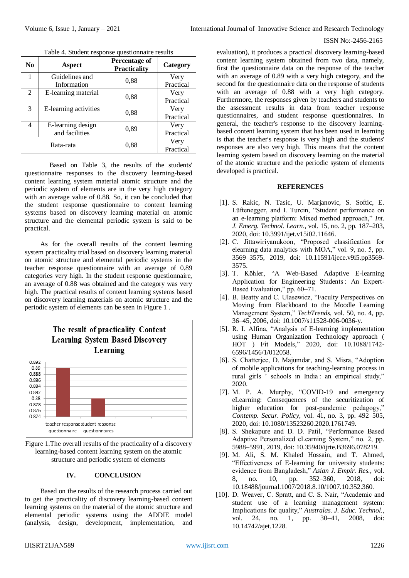| No | Aspect                | <b>Percentage of</b><br><b>Practicality</b> | Category  |
|----|-----------------------|---------------------------------------------|-----------|
|    | Guidelines and        |                                             | Very      |
|    | Information           | 0.88                                        | Practical |
| 2  | E-learning material   |                                             | Very      |
|    |                       | 0,88                                        | Practical |
| 3  | E-learning activities |                                             | Very      |
|    |                       | 0,88                                        | Practical |
| 4  | E-learning design     |                                             | Very      |
|    | and facilities        | 0,89                                        | Practical |
|    |                       |                                             | Very      |
|    | Rata-rata             | 0,88                                        | Practical |

Table 4. Student response questionnaire results

Based on Table 3, the results of the students' questionnaire responses to the discovery learning-based content learning system material atomic structure and the periodic system of elements are in the very high category with an average value of 0.88. So, it can be concluded that the student response questionnaire to content learning systems based on discovery learning material on atomic structure and the elemental periodic system is said to be practical.

As for the overall results of the content learning system practicality trial based on discovery learning material on atomic structure and elemental periodic systems in the teacher response questionnaire with an average of 0.89 categories very high. In the student response questionnaire, an average of 0.88 was obtained and the category was very high. The practical results of content learning systems based on discovery learning materials on atomic structure and the periodic system of elements can be seen in Figure 1 .



Figure 1.The overall results of the practicality of a discovery learning-based content learning system on the atomic structure and periodic system of elements

## **IV. CONCLUSION**

Based on the results of the research process carried out to get the practicality of discovery learning-based content learning systems on the material of the atomic structure and elemental periodic systems using the ADDIE model (analysis, design, development, implementation, and evaluation), it produces a practical discovery learning-based content learning system obtained from two data, namely, first the questionnaire data on the response of the teacher with an average of 0.89 with a very high category, and the second for the questionnaire data on the response of students with an average of 0.88 with a very high category. Furthermore, the responses given by teachers and students to the assessment results in data from teacher response questionnaires, and student response questionnaires. In general, the teacher's response to the discovery learningbased content learning system that has been used in learning is that the teacher's response is very high and the students' responses are also very high. This means that the content learning system based on discovery learning on the material of the atomic structure and the periodic system of elements developed is practical.

#### **REFERENCES**

- [1]. S. Rakic, N. Tasic, U. Marjanovic, S. Softic, E. Lüftenegger, and I. Turcin, "Student performance on an e-learning platform: Mixed method approach," *Int. J. Emerg. Technol. Learn.*, vol. 15, no. 2, pp. 187–203, 2020, doi: 10.3991/ijet.v15i02.11646.
- [2]. C. Jittawiriyanukoon, "Proposed classification for elearning data analytics with MOA," vol. 9, no. 5, pp. 3569–3575, 2019, doi: 10.11591/ijece.v9i5.pp3569- 3575.
- [3]. T. Köhler, "A Web-Based Adaptive E-learning Application for Engineering Students : An Expert-Based Evaluation," pp. 60–71.
- [4]. B. Beatty and C. Ulasewicz, "Faculty Perspectives on Moving from Blackboard to the Moodle Learning Management System," *TechTrends*, vol. 50, no. 4, pp. 36–45, 2006, doi: 10.1007/s11528-006-0036-y.
- [5]. R. I. Alfina, "Analysis of E-learning implementation using Human Organization Technology approach ( HOT ) Fit Models," 2020, doi: 10.1088/1742- 6596/1456/1/012058.
- [6]. S. Chatterjee, D. Majumdar, and S. Misra, "Adoption of mobile applications for teaching-learning process in rural girls ' schools in India : an empirical study," 2020.
- [7]. M. P. A. Murphy, "COVID-19 and emergency eLearning: Consequences of the securitization of higher education for post-pandemic pedagogy," *Contemp. Secur. Policy*, vol. 41, no. 3, pp. 492–505, 2020, doi: 10.1080/13523260.2020.1761749.
- [8]. S. Shekapure and D. D. Patil, "Performance Based Adaptive Personalized eLearning System," no. 2, pp. 5988–5991, 2019, doi: 10.35940/ijrte.B3696.078219.
- [9]. M. Ali, S. M. Khaled Hossain, and T. Ahmed, "Effectiveness of E-learning for university students: evidence from Bangladesh," *Asian J. Empir. Res.*, vol. 8, no. 10, pp. 352–360, 2018, doi: 10.18488/journal.1007/2018.8.10/1007.10.352.360.
- [10]. D. Weaver, C. Spratt, and C. S. Nair, "Academic and student use of a learning management system: Implications for quality," *Australas. J. Educ. Technol.*, vol. 24, no. 1, pp. 30–41, 2008, doi: 10.14742/ajet.1228.